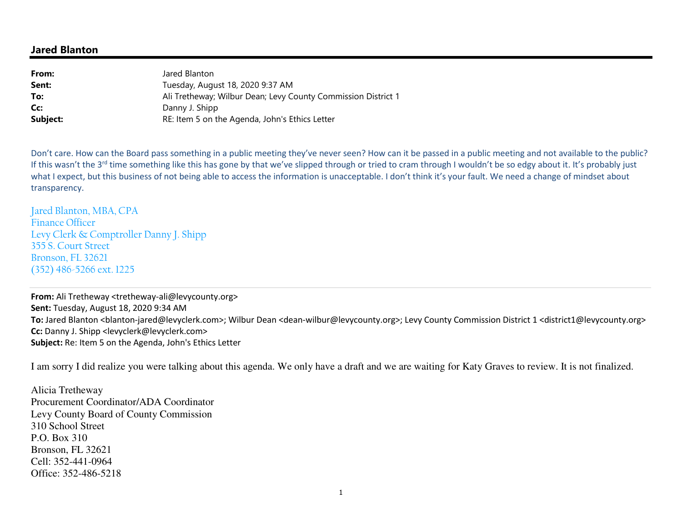## **Jared Blanton**

| Jared Blanton                                                 |
|---------------------------------------------------------------|
| Tuesday, August 18, 2020 9:37 AM                              |
| Ali Tretheway; Wilbur Dean; Levy County Commission District 1 |
| Danny J. Shipp                                                |
| RE: Item 5 on the Agenda, John's Ethics Letter                |
|                                                               |

Don't care. How can the Board pass something in a public meeting they've never seen? How can it be passed in a public meeting and not available to the public? If this wasn't the 3<sup>rd</sup> time something like this has gone by that we've slipped through or tried to cram through I wouldn't be so edgy about it. It's probably just what I expect, but this business of not being able to access the information is unacceptable. I don't think it's your fault. We need a change of mindset about transparency.

Jared Blanton, MBA, CPA Finance Officer Levy Clerk & Comptroller Danny J. Shipp 355 S. Court Street Bronson, FL 32621 (352) 486-5266 ext. 1225

**From:** Ali Tretheway <tretheway-ali@levycounty.org> **Sent:** Tuesday, August 18, 2020 9:34 AM To: Jared Blanton <blanton-jared@levyclerk.com>; Wilbur Dean <dean-wilbur@levycounty.org>; Levy County Commission District 1 <district1@levycounty.org> **Cc:** Danny J. Shipp <levyclerk@levyclerk.com> **Subject:** Re: Item 5 on the Agenda, John's Ethics Letter

I am sorry I did realize you were talking about this agenda. We only have a draft and we are waiting for Katy Graves to review. It is not finalized.

Alicia Tretheway Procurement Coordinator/ADA Coordinator Levy County Board of County Commission 310 School Street P.O. Box 310 Bronson, FL 32621 Cell: 352-441-0964 Office: 352-486-5218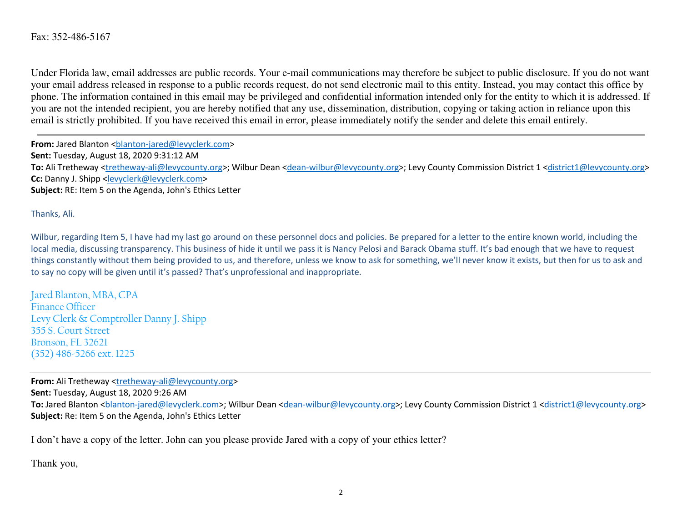Under Florida law, email addresses are public records. Your e-mail communications may therefore be subject to public disclosure. If you do not want your email address released in response to a public records request, do not send electronic mail to this entity. Instead, you may contact this office by phone. The information contained in this email may be privileged and confidential information intended only for the entity to which it is addressed. If you are not the intended recipient, you are hereby notified that any use, dissemination, distribution, copying or taking action in reliance upon this email is strictly prohibited. If you have received this email in error, please immediately notify the sender and delete this email entirely.

**From:** Jared Blanton <br/>blanton-jared@levyclerk.com> **Sent:** Tuesday, August 18, 2020 9:31:12 AM **To:** Ali Tretheway <tretheway-ali@levycounty.org>; Wilbur Dean <dean-wilbur@levycounty.org>; Levy County Commission District 1 <district1@levycounty.org>**Cc:** Danny J. Shipp <levyclerk@levyclerk.com> **Subject:** RE: Item 5 on the Agenda, John's Ethics Letter

Thanks, Ali.

Wilbur, regarding Item 5, I have had my last go around on these personnel docs and policies. Be prepared for a letter to the entire known world, including the local media, discussing transparency. This business of hide it until we pass it is Nancy Pelosi and Barack Obama stuff. It's bad enough that we have to request things constantly without them being provided to us, and therefore, unless we know to ask for something, we'll never know it exists, but then for us to ask and to say no copy will be given until it's passed? That's unprofessional and inappropriate.

Jared Blanton, MBA, CPAFinance Officer Levy Clerk & Comptroller Danny J. Shipp355 S. Court Street Bronson, FL 32621(352) 486-5266 ext. 1225

**From:** Ali Tretheway <tretheway-ali@levycounty.org> **Sent:** Tuesday, August 18, 2020 9:26 AM To: Jared Blanton <blanton-jared@levyclerk.com>; Wilbur Dean <dean-wilbur@levycounty.org>; Levy County Commission District 1 <district1@levycounty.org> **Subject:** Re: Item 5 on the Agenda, John's Ethics Letter

I don't have a copy of the letter. John can you please provide Jared with a copy of your ethics letter?

Thank you,